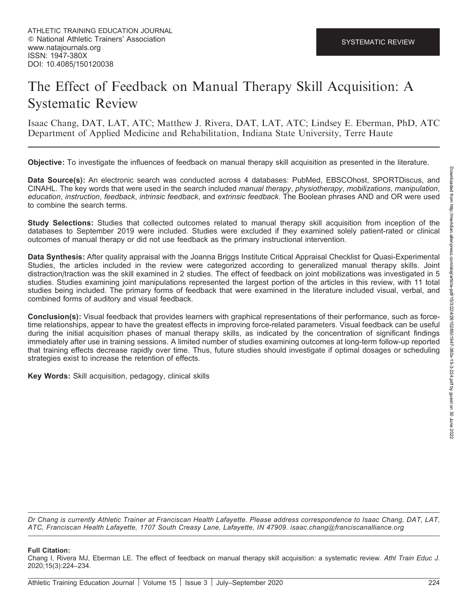# The Effect of Feedback on Manual Therapy Skill Acquisition: A Systematic Review

Isaac Chang, DAT, LAT, ATC; Matthew J. Rivera, DAT, LAT, ATC; Lindsey E. Eberman, PhD, ATC Department of Applied Medicine and Rehabilitation, Indiana State University, Terre Haute

Objective: To investigate the influences of feedback on manual therapy skill acquisition as presented in the literature.

Data Source(s): An electronic search was conducted across 4 databases: PubMed, EBSCOhost, SPORTDiscus, and CINAHL. The key words that were used in the search included manual therapy, physiotherapy, mobilizations, manipulation, education, instruction, feedback, intrinsic feedback, and extrinsic feedback. The Boolean phrases AND and OR were used to combine the search terms.

Study Selections: Studies that collected outcomes related to manual therapy skill acquisition from inception of the databases to September 2019 were included. Studies were excluded if they examined solely patient-rated or clinical outcomes of manual therapy or did not use feedback as the primary instructional intervention.

Data Synthesis: After quality appraisal with the Joanna Briggs Institute Critical Appraisal Checklist for Quasi-Experimental Studies, the articles included in the review were categorized according to generalized manual therapy skills. Joint distraction/traction was the skill examined in 2 studies. The effect of feedback on joint mobilizations was investigated in 5 studies. Studies examining joint manipulations represented the largest portion of the articles in this review, with 11 total studies being included. The primary forms of feedback that were examined in the literature included visual, verbal, and combined forms of auditory and visual feedback.

Conclusion(s): Visual feedback that provides learners with graphical representations of their performance, such as forcetime relationships, appear to have the greatest effects in improving force-related parameters. Visual feedback can be useful during the initial acquisition phases of manual therapy skills, as indicated by the concentration of significant findings immediately after use in training sessions. A limited number of studies examining outcomes at long-term follow-up reported that training effects decrease rapidly over time. Thus, future studies should investigate if optimal dosages or scheduling strategies exist to increase the retention of effects.

Key Words: Skill acquisition, pedagogy, clinical skills

Dr Chang is currently Athletic Trainer at Franciscan Health Lafayette. Please address correspondence to Isaac Chang, DAT, LAT, ATC, Franciscan Health Lafayette, 1707 South Creasy Lane, Lafayette, IN 47909. isaac.chang@franciscanalliance.org

#### Full Citation:

Chang I, Rivera MJ, Eberman LE. The effect of feedback on manual therapy skill acquisition: a systematic review. Athl Train Educ J. 2020;15(3):224–234.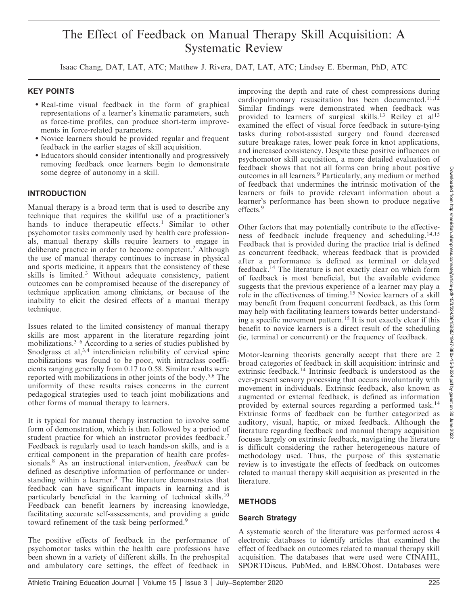## The Effect of Feedback on Manual Therapy Skill Acquisition: A Systematic Review

Isaac Chang, DAT, LAT, ATC; Matthew J. Rivera, DAT, LAT, ATC; Lindsey E. Eberman, PhD, ATC

#### KEY POINTS

- Real-time visual feedback in the form of graphical representations of a learner's kinematic parameters, such as force-time profiles, can produce short-term improvements in force-related parameters.
- Novice learners should be provided regular and frequent feedback in the earlier stages of skill acquisition.
- Educators should consider intentionally and progressively removing feedback once learners begin to demonstrate some degree of autonomy in a skill.

#### **INTRODUCTION**

Manual therapy is a broad term that is used to describe any technique that requires the skillful use of a practitioner's hands to induce therapeutic effects.<sup>1</sup> Similar to other psychomotor tasks commonly used by health care professionals, manual therapy skills require learners to engage in deliberate practice in order to become competent.<sup>2</sup> Although the use of manual therapy continues to increase in physical and sports medicine, it appears that the consistency of these skills is limited.<sup>3</sup> Without adequate consistency, patient outcomes can be compromised because of the discrepancy of technique application among clinicians, or because of the inability to elicit the desired effects of a manual therapy technique.

Issues related to the limited consistency of manual therapy skills are most apparent in the literature regarding joint mobilizations. $3-6$  According to a series of studies published by Snodgrass et al,<sup>3,4</sup> interclinician reliability of cervical spine mobilizations was found to be poor, with intraclass coefficients ranging generally from 0.17 to 0.58. Similar results were reported with mobilizations in other joints of the body.<sup>5,6</sup> The uniformity of these results raises concerns in the current pedagogical strategies used to teach joint mobilizations and other forms of manual therapy to learners.

It is typical for manual therapy instruction to involve some form of demonstration, which is then followed by a period of student practice for which an instructor provides feedback.<sup>7</sup> Feedback is regularly used to teach hands-on skills, and is a critical component in the preparation of health care professionals.<sup>8</sup> As an instructional intervention, *feedback* can be defined as descriptive information of performance or understanding within a learner.<sup>9</sup> The literature demonstrates that feedback can have significant impacts in learning and is particularly beneficial in the learning of technical skills.<sup>10</sup> Feedback can benefit learners by increasing knowledge, facilitating accurate self-assessments, and providing a guide toward refinement of the task being performed.<sup>9</sup>

The positive effects of feedback in the performance of psychomotor tasks within the health care professions have been shown in a variety of different skills. In the prehospital and ambulatory care settings, the effect of feedback in

improving the depth and rate of chest compressions during cardiopulmonary resuscitation has been documented.<sup>11,12</sup> Similar findings were demonstrated when feedback was provided to learners of surgical skills.<sup>13</sup> Reiley et al<sup>13</sup> examined the effect of visual force feedback in suture-tying tasks during robot-assisted surgery and found decreased suture breakage rates, lower peak force in knot applications, and increased consistency. Despite these positive influences on psychomotor skill acquisition, a more detailed evaluation of feedback shows that not all forms can bring about positive outcomes in all learners.<sup>9</sup> Particularly, any medium or method of feedback that undermines the intrinsic motivation of the learners or fails to provide relevant information about a learner's performance has been shown to produce negative effects.<sup>9</sup>

Other factors that may potentially contribute to the effectiveness of feedback include frequency and scheduling.14,15 Feedback that is provided during the practice trial is defined as concurrent feedback, whereas feedback that is provided after a performance is defined as terminal or delayed feedback.<sup>14</sup> The literature is not exactly clear on which form of feedback is most beneficial, but the available evidence suggests that the previous experience of a learner may play a role in the effectiveness of timing.<sup>15</sup> Novice learners of a skill may benefit from frequent concurrent feedback, as this form may help with facilitating learners towards better understanding a specific movement pattern.<sup>15</sup> It is not exactly clear if this benefit to novice learners is a direct result of the scheduling (ie, terminal or concurrent) or the frequency of feedback.

Motor-learning theorists generally accept that there are 2 broad categories of feedback in skill acquisition: intrinsic and extrinsic feedback.<sup>14</sup> Intrinsic feedback is understood as the ever-present sensory processing that occurs involuntarily with movement in individuals. Extrinsic feedback, also known as augmented or external feedback, is defined as information provided by external sources regarding a performed task.<sup>14</sup> Extrinsic forms of feedback can be further categorized as auditory, visual, haptic, or mixed feedback. Although the literature regarding feedback and manual therapy acquisition focuses largely on extrinsic feedback, navigating the literature is difficult considering the rather heterogeneous nature of methodology used. Thus, the purpose of this systematic review is to investigate the effects of feedback on outcomes related to manual therapy skill acquisition as presented in the literature.

## **METHODS**

#### Search Strategy

A systematic search of the literature was performed across 4 electronic databases to identify articles that examined the effect of feedback on outcomes related to manual therapy skill acquisition. The databases that were used were CINAHL, SPORTDiscus, PubMed, and EBSCOhost. Databases were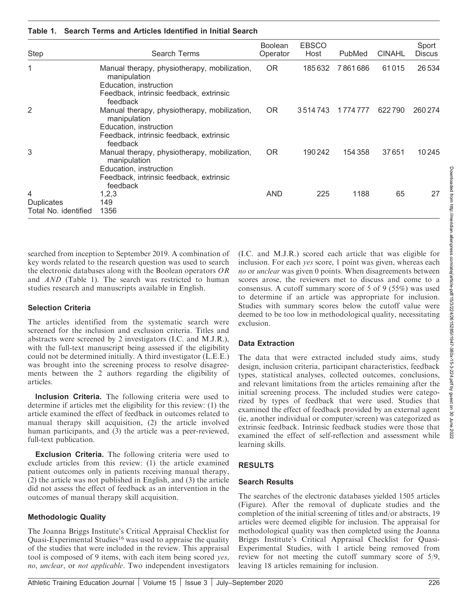| <b>Step</b>          | Search Terms                                                                  | <b>Boolean</b><br>Operator | <b>EBSCO</b><br>Host | PubMed    | <b>CINAHL</b> | Sport<br><b>Discus</b> |
|----------------------|-------------------------------------------------------------------------------|----------------------------|----------------------|-----------|---------------|------------------------|
| 1                    | Manual therapy, physiotherapy, mobilization,<br>manipulation                  | <b>OR</b>                  | 185632               | 7861686   | 61015         | 26534                  |
|                      | Education, instruction<br>Feedback, intrinsic feedback, extrinsic<br>feedback |                            |                      |           |               |                        |
| 2                    | Manual therapy, physiotherapy, mobilization,<br>manipulation                  | <b>OR</b>                  | 3514743              | 1 774 777 | 622790        | 260 274                |
|                      | Education, instruction<br>Feedback, intrinsic feedback, extrinsic             |                            |                      |           |               |                        |
|                      | feedback                                                                      |                            |                      |           |               |                        |
| 3                    | Manual therapy, physiotherapy, mobilization,<br>manipulation                  | <b>OR</b>                  | 190 242              | 154 358   | 37651         | 10 245                 |
|                      | Education, instruction                                                        |                            |                      |           |               |                        |
|                      | Feedback, intrinsic feedback, extrinsic<br>feedback                           |                            |                      |           |               |                        |
| 4                    | 1,2,3                                                                         | AND                        | 225                  | 1188      | 65            | 27                     |
| Duplicates           | 149                                                                           |                            |                      |           |               |                        |
| Total No. identified | 1356                                                                          |                            |                      |           |               |                        |

#### Table 1. Search Terms and Articles Identified in Initial Search

searched from inception to September 2019. A combination of key words related to the research question was used to search the electronic databases along with the Boolean operators OR and AND (Table 1). The search was restricted to human studies research and manuscripts available in English.

#### Selection Criteria

The articles identified from the systematic search were screened for the inclusion and exclusion criteria. Titles and abstracts were screened by 2 investigators (I.C. and M.J.R.), with the full-text manuscript being assessed if the eligibility could not be determined initially. A third investigator (L.E.E.) was brought into the screening process to resolve disagreements between the 2 authors regarding the eligibility of articles.

Inclusion Criteria. The following criteria were used to determine if articles met the eligibility for this review: (1) the article examined the effect of feedback in outcomes related to manual therapy skill acquisition, (2) the article involved human participants, and (3) the article was a peer-reviewed, full-text publication.

**Exclusion Criteria.** The following criteria were used to exclude articles from this review: (1) the article examined patient outcomes only in patients receiving manual therapy, (2) the article was not published in English, and (3) the article did not assess the effect of feedback as an intervention in the outcomes of manual therapy skill acquisition.

#### Methodologic Quality

The Joanna Briggs Institute's Critical Appraisal Checklist for Quasi-Experimental Studies<sup>16</sup> was used to appraise the quality of the studies that were included in the review. This appraisal tool is composed of 9 items, with each item being scored yes, no, unclear, or not applicable. Two independent investigators (I.C. and M.J.R.) scored each article that was eligible for inclusion. For each yes score, 1 point was given, whereas each no or *unclear* was given 0 points. When disagreements between scores arose, the reviewers met to discuss and come to a consensus. A cutoff summary score of 5 of 9 (55%) was used to determine if an article was appropriate for inclusion. Studies with summary scores below the cutoff value were deemed to be too low in methodological quality, necessitating exclusion.

## Data Extraction

The data that were extracted included study aims, study design, inclusion criteria, participant characteristics, feedback types, statistical analyses, collected outcomes, conclusions, and relevant limitations from the articles remaining after the initial screening process. The included studies were categorized by types of feedback that were used. Studies that examined the effect of feedback provided by an external agent (ie, another individual or computer/screen) was categorized as extrinsic feedback. Intrinsic feedback studies were those that examined the effect of self-reflection and assessment while learning skills.

## RESULTS

#### Search Results

The searches of the electronic databases yielded 1505 articles (Figure). After the removal of duplicate studies and the completion of the initial screening of titles and/or abstracts, 19 articles were deemed eligible for inclusion. The appraisal for methodological quality was then completed using the Joanna Briggs Institute's Critical Appraisal Checklist for Quasi-Experimental Studies, with 1 article being removed from review for not meeting the cutoff summary score of 5/9, leaving 18 articles remaining for inclusion.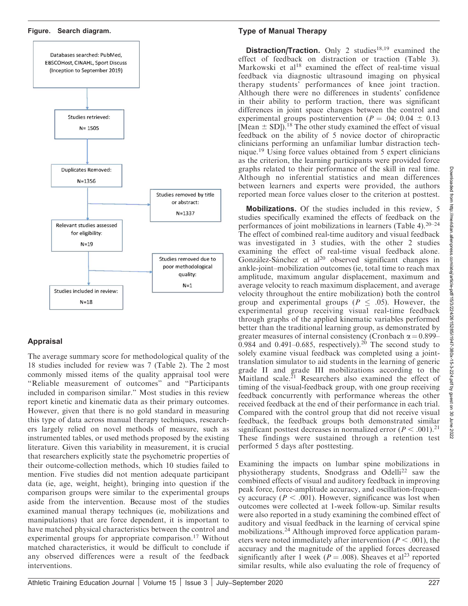#### Figure. Search diagram.



## Appraisal

The average summary score for methodological quality of the 18 studies included for review was 7 (Table 2). The 2 most commonly missed items of the quality appraisal tool were ''Reliable measurement of outcomes'' and ''Participants included in comparison similar.'' Most studies in this review report kinetic and kinematic data as their primary outcomes. However, given that there is no gold standard in measuring this type of data across manual therapy techniques, researchers largely relied on novel methods of measure, such as instrumented tables, or used methods proposed by the existing literature. Given this variability in measurement, it is crucial that researchers explicitly state the psychometric properties of their outcome-collection methods, which 10 studies failed to mention. Five studies did not mention adequate participant data (ie, age, weight, height), bringing into question if the comparison groups were similar to the experimental groups aside from the intervention. Because most of the studies examined manual therapy techniques (ie, mobilizations and manipulations) that are force dependent, it is important to have matched physical characteristics between the control and experimental groups for appropriate comparison.<sup>17</sup> Without matched characteristics, it would be difficult to conclude if any observed differences were a result of the feedback interventions.

## Type of Manual Therapy

**Distraction/Traction.** Only 2 studies<sup>18,19</sup> examined the effect of feedback on distraction or traction (Table 3). Markowski et al<sup>18</sup> examined the effect of real-time visual feedback via diagnostic ultrasound imaging on physical therapy students' performances of knee joint traction. Although there were no differences in students' confidence in their ability to perform traction, there was significant differences in joint space changes between the control and experimental groups postintervention ( $P = .04$ ; 0.04  $\pm$  0.13 [Mean  $\pm$  SD]).<sup>18</sup> The other study examined the effect of visual feedback on the ability of 5 novice doctor of chiropractic clinicians performing an unfamiliar lumbar distraction technique.<sup>19</sup> Using force values obtained from 5 expert clinicians as the criterion, the learning participants were provided force graphs related to their performance of the skill in real time. Although no inferential statistics and mean differences between learners and experts were provided, the authors reported mean force values closer to the criterion at posttest.

Mobilizations. Of the studies included in this review, 5 studies specifically examined the effects of feedback on the performances of joint mobilizations in learners (Table 4).20–24 The effect of combined real-time auditory and visual feedback was investigated in 3 studies, with the other 2 studies examining the effect of real-time visual feedback alone. González-Sánchez et al<sup>20</sup> observed significant changes in ankle-joint–mobilization outcomes (ie, total time to reach max amplitude, maximum angular displacement, maximum and average velocity to reach maximum displacement, and average velocity throughout the entire mobilization) both the control group and experimental groups ( $P \leq .05$ ). However, the experimental group receiving visual real-time feedback through graphs of the applied kinematic variables performed better than the traditional learning group, as demonstrated by greater measures of internal consistency (Cronbach  $\alpha$  = 0.899– 0.984 and 0.491–0.685, respectively).<sup>20</sup> The second study to solely examine visual feedback was completed using a jointtranslation simulator to aid students in the learning of generic grade II and grade III mobilizations according to the Maitland scale. $^{21}$  Researchers also examined the effect of timing of the visual-feedback group, with one group receiving feedback concurrently with performance whereas the other received feedback at the end of their performance in each trial. Compared with the control group that did not receive visual feedback, the feedback groups both demonstrated similar significant posttest decreases in normalized error  $(P < .001).^{21}$ These findings were sustained through a retention test performed 5 days after posttesting.

Examining the impacts on lumbar spine mobilizations in physiotherapy students, Snodgrass and Odelli<sup>22</sup> saw the combined effects of visual and auditory feedback in improving peak force, force-amplitude accuracy, and oscillation-frequency accuracy ( $P < .001$ ). However, significance was lost when outcomes were collected at 1-week follow-up. Similar results were also reported in a study examining the combined effect of auditory and visual feedback in the learning of cervical spine mobilizations.<sup>24</sup> Although improved force application parameters were noted immediately after intervention ( $P < .001$ ), the accuracy and the magnitude of the applied forces decreased significantly after 1 week ( $P = .008$ ). Sheaves et al<sup>23</sup> reported similar results, while also evaluating the role of frequency of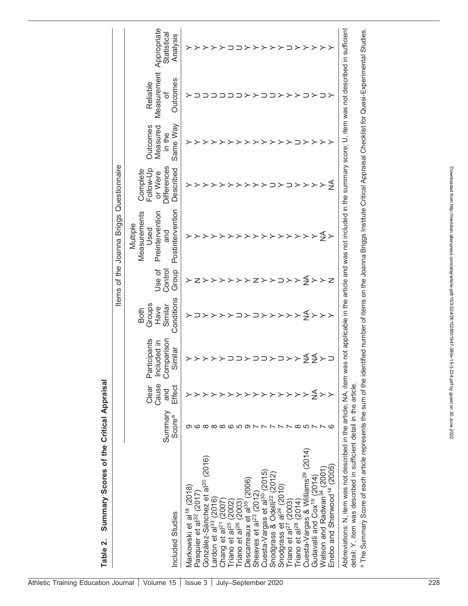|                                                                                                                                           |                               |                                 |                                                          |                                                        |                            | Items of the Joanna Briggs Questionnaire                                                                            |                                                                     |                                            |                                           |                                        |
|-------------------------------------------------------------------------------------------------------------------------------------------|-------------------------------|---------------------------------|----------------------------------------------------------|--------------------------------------------------------|----------------------------|---------------------------------------------------------------------------------------------------------------------|---------------------------------------------------------------------|--------------------------------------------|-------------------------------------------|----------------------------------------|
| Included Studies                                                                                                                          | Summary<br>Score <sup>a</sup> | Cause<br>Clear<br>Effect<br>and | Comparison<br>rticipants<br>Included in<br>Similar<br>മ് | Conditions<br>Groups<br>Similar<br>Have<br><b>Both</b> | Jse of<br>Control<br>Group | Postintervention<br>Measurements<br>Preintervention<br>Multiple<br>Used<br>and                                      | <b>Differences</b><br>Follow-Up<br>Described<br>Complete<br>or Were | Same Way<br>Outcomes<br>Measured<br>in the | Measurement<br>Outcomes<br>Reliable<br>'ত | Appropriate<br>Statistical<br>Analysis |
| Markowski et al <sup>18</sup> (2018)<br>Pasquier et al <sup>32</sup> (2017)                                                               |                               |                                 |                                                          |                                                        |                            |                                                                                                                     |                                                                     |                                            |                                           |                                        |
| González-Sánchez et al <sup>20</sup> (2016)                                                                                               |                               |                                 |                                                          |                                                        |                            |                                                                                                                     |                                                                     |                                            |                                           |                                        |
| ardon et al <sup>33</sup> (2016)                                                                                                          |                               |                                 |                                                          |                                                        |                            |                                                                                                                     |                                                                     |                                            |                                           |                                        |
| Chang et al <sup>21</sup>                                                                                                                 |                               |                                 |                                                          |                                                        |                            |                                                                                                                     |                                                                     |                                            |                                           |                                        |
| Friano et al <sup>25</sup> (2002)<br>Friano et al <sup>26</sup> (2003)                                                                    |                               |                                 |                                                          |                                                        |                            |                                                                                                                     |                                                                     |                                            |                                           |                                        |
|                                                                                                                                           |                               |                                 |                                                          |                                                        |                            |                                                                                                                     |                                                                     |                                            |                                           |                                        |
| (2006)<br>Descarreaux et al <sup>35</sup>                                                                                                 |                               |                                 |                                                          |                                                        |                            |                                                                                                                     |                                                                     |                                            |                                           |                                        |
| Sheaves et al <sup>23</sup> (2012                                                                                                         |                               |                                 |                                                          |                                                        |                            |                                                                                                                     |                                                                     |                                            |                                           |                                        |
| (2015)<br>Cuesta-Vargas et al <sup>30</sup>                                                                                               |                               |                                 |                                                          |                                                        |                            |                                                                                                                     |                                                                     |                                            |                                           |                                        |
| Snodgrass & Odelli <sup>22</sup> (2012)                                                                                                   |                               |                                 |                                                          |                                                        |                            |                                                                                                                     |                                                                     |                                            |                                           |                                        |
| Snodgrass et al <sup>24</sup> (2010)                                                                                                      |                               |                                 |                                                          |                                                        |                            |                                                                                                                     |                                                                     |                                            |                                           |                                        |
| Triano et al <sup>27</sup> (2003)<br>Triano et al <sup>28</sup> (2014)                                                                    |                               |                                 |                                                          |                                                        |                            |                                                                                                                     |                                                                     |                                            |                                           |                                        |
|                                                                                                                                           |                               |                                 |                                                          |                                                        |                            |                                                                                                                     |                                                                     |                                            |                                           |                                        |
| Cuesta-Vargas & Williams <sup>29</sup> (2014)                                                                                             |                               |                                 |                                                          | ≨                                                      | ≨                          |                                                                                                                     |                                                                     |                                            |                                           |                                        |
| Gudavalli and Cox <sup>19</sup> (2014)                                                                                                    |                               | ≨                               | ≨≨                                                       | $\succ$                                                | $\mathord{>}$              |                                                                                                                     |                                                                     |                                            |                                           |                                        |
| Watson and Radwan <sup>34</sup> (2001                                                                                                     |                               |                                 |                                                          | $\succ$                                                | $\succ$                    | ≨                                                                                                                   |                                                                     |                                            |                                           |                                        |
| Enebo and Sherwood <sup>14</sup> (2005)                                                                                                   |                               |                                 |                                                          |                                                        | Ζ                          |                                                                                                                     | ₹                                                                   |                                            |                                           |                                        |
| Abbreviations: N, item was not described in the article; NA, item w<br>detail; Y, item was described in sufficient detail in the article. |                               |                                 |                                                          |                                                        |                            | as not applicable in the article and was not included in the summary score; U, item was not described in sufficient |                                                                     |                                            |                                           |                                        |
|                                                                                                                                           |                               |                                 |                                                          |                                                        |                            |                                                                                                                     |                                                                     |                                            |                                           |                                        |

<sup>a</sup> The Summary Score of each article represents the sum of the identified number of items on the Joanna Briggs Institute Critical Appraisal Checklist for Quasi-Experimental Studies. The Summary Score of each article represents the sum of the identified number of items on the Joanna Briggs Institute Critical Appraisal Checklist for Quasi-Experimental Studies.

Table 2. Summary Scores of the Critical Appraisal

Table 2.

Summary Scores of the Critical Appraisal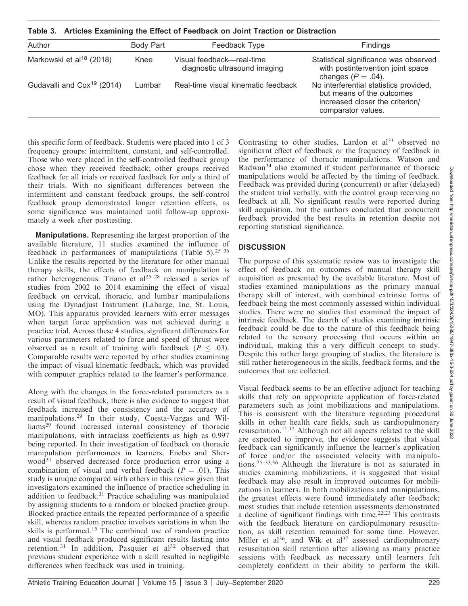Table 3. Articles Examining the Effect of Feedback on Joint Traction or Distraction

| Author                                 | Body Part | Feedback Type                                              | <b>Findings</b>                                                                                                              |
|----------------------------------------|-----------|------------------------------------------------------------|------------------------------------------------------------------------------------------------------------------------------|
| Markowski et al <sup>18</sup> (2018)   | Knee      | Visual feedback—real-time<br>diagnostic ultrasound imaging | Statistical significance was observed<br>with postintervention joint space<br>changes ( $P = .04$ ).                         |
| Gudavalli and Cox <sup>19</sup> (2014) | Lumbar    | Real-time visual kinematic feedback                        | No interferential statistics provided,<br>but means of the outcomes<br>increased closer the criterion/<br>comparator values. |

this specific form of feedback. Students were placed into 1 of 3 frequency groups: intermittent, constant, and self-controlled. Those who were placed in the self-controlled feedback group chose when they received feedback; other groups received feedback for all trials or received feedback for only a third of their trials. With no significant differences between the intermittent and constant feedback groups, the self-control feedback group demonstrated longer retention effects, as some significance was maintained until follow-up approximately a week after posttesting.

Manipulations. Representing the largest proportion of the available literature, 11 studies examined the influence of feedback in performances of manipulations (Table 5).<sup>25–36</sup> Unlike the results reported by the literature for other manual therapy skills, the effects of feedback on manipulation is rather heterogeneous. Triano et al<sup>25-28</sup> released a series of studies from 2002 to 2014 examining the effect of visual feedback on cervical, thoracic, and lumbar manipulations using the Dynadjust Instrument (Labarge, Inc, St. Louis, MO). This apparatus provided learners with error messages when target force application was not achieved during a practice trial. Across these 4 studies, significant differences for various parameters related to force and speed of thrust were observed as a result of training with feedback ( $P \leq .03$ ). Comparable results were reported by other studies examining the impact of visual kinematic feedback, which was provided with computer graphics related to the learner's performance.

Along with the changes in the force-related parameters as a result of visual feedback, there is also evidence to suggest that feedback increased the consistency and the accuracy of manipulations.<sup>29</sup> In their study, Cuesta-Vargas and Williams<sup>29</sup> found increased internal consistency of thoracic manipulations, with intraclass coefficients as high as 0.997 being reported. In their investigation of feedback on thoracic manipulation performances in learners, Enebo and Sherwood<sup>31</sup> observed decreased force production error using a combination of visual and verbal feedback ( $P = .01$ ). This study is unique compared with others in this review given that investigators examined the influence of practice scheduling in addition to feedback.31 Practice scheduling was manipulated by assigning students to a random or blocked practice group. Blocked practice entails the repeated performance of a specific skill, whereas random practice involves variations in when the skills is performed.<sup>15</sup> The combined use of random practice and visual feedback produced significant results lasting into retention.<sup>31</sup> In addition, Pasquier et  $al^{32}$  observed that previous student experience with a skill resulted in negligible differences when feedback was used in training.

Contrasting to other studies, Lardon et  $al<sup>33</sup>$  observed no significant effect of feedback or the frequency of feedback in the performance of thoracic manipulations. Watson and Radwan<sup>34</sup> also examined if student performance of thoracic manipulations would be affected by the timing of feedback. Feedback was provided during (concurrent) or after (delayed) the student trial verbally, with the control group receiving no feedback at all. No significant results were reported during skill acquisition, but the authors concluded that concurrent feedback provided the best results in retention despite not reporting statistical significance.

## **DISCUSSION**

The purpose of this systematic review was to investigate the effect of feedback on outcomes of manual therapy skill acquisition as presented by the available literature. Most of studies examined manipulations as the primary manual therapy skill of interest, with combined extrinsic forms of feedback being the most commonly assessed within individual studies. There were no studies that examined the impact of intrinsic feedback. The dearth of studies examining intrinsic feedback could be due to the nature of this feedback being related to the sensory processing that occurs within an individual, making this a very difficult concept to study. Despite this rather large grouping of studies, the literature is still rather heterogeneous in the skills, feedback forms, and the outcomes that are collected.

Visual feedback seems to be an effective adjunct for teaching skills that rely on appropriate application of force-related parameters such as joint mobilizations and manipulations. This is consistent with the literature regarding procedural skills in other health care fields, such as cardiopulmonary resuscitation.11,12 Although not all aspects related to the skill are expected to improve, the evidence suggests that visual feedback can significantly influence the learner's application of force and/or the associated velocity with manipulations.25–33,36 Although the literature is not as saturated in studies examining mobilizations, it is suggested that visual feedback may also result in improved outcomes for mobilizations in learners. In both mobilizations and manipulations, the greatest effects were found immediately after feedback; most studies that include retention assessments demonstrated a decline of significant findings with time.22,23 This contrasts with the feedback literature on cardiopulmonary resuscitation, as skill retention remained for some time. However, Miller et al<sup>36</sup>, and Wik et al<sup>37</sup> assessed cardiopulmonary resuscitation skill retention after allowing as many practice sessions with feedback as necessary until learners felt completely confident in their ability to perform the skill.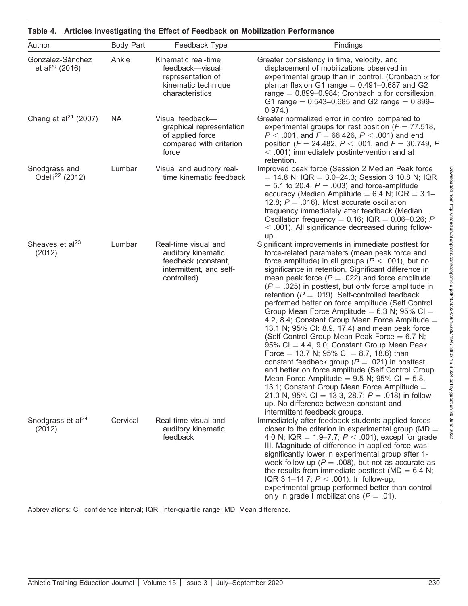| Author                                         | <b>Body Part</b> | Feedback Type                                                                                               | Findings                                                                                                                                                                                                                                                                                                                                                                                                                                                                                                                                                                                                                                                                                                                                                                                                                                                                                                                                                                                                                                                                                             |
|------------------------------------------------|------------------|-------------------------------------------------------------------------------------------------------------|------------------------------------------------------------------------------------------------------------------------------------------------------------------------------------------------------------------------------------------------------------------------------------------------------------------------------------------------------------------------------------------------------------------------------------------------------------------------------------------------------------------------------------------------------------------------------------------------------------------------------------------------------------------------------------------------------------------------------------------------------------------------------------------------------------------------------------------------------------------------------------------------------------------------------------------------------------------------------------------------------------------------------------------------------------------------------------------------------|
| González-Sánchez<br>et al <sup>20</sup> (2016) | Ankle            | Kinematic real-time<br>feedback-visual<br>representation of<br>kinematic technique<br>characteristics       | Greater consistency in time, velocity, and<br>displacement of mobilizations observed in<br>experimental group than in control. (Cronbach $\alpha$ for<br>plantar flexion G1 range $= 0.491 - 0.687$ and G2<br>range = $0.899-0.984$ ; Cronbach $\alpha$ for dorsifiexion<br>G1 range = $0.543 - 0.685$ and G2 range = $0.899 -$<br>0.974.                                                                                                                                                                                                                                                                                                                                                                                                                                                                                                                                                                                                                                                                                                                                                            |
| Chang et al <sup>21</sup> (2007)               | <b>NA</b>        | Visual feedback-<br>graphical representation<br>of applied force<br>compared with criterion<br>force        | Greater normalized error in control compared to<br>experimental groups for rest position ( $F = 77.518$ ,<br>$P < .001$ , and $F = 66.426$ , $P < .001$ ) and end<br>position ( $F = 24.482$ , $P < .001$ , and $F = 30.749$ , P<br>$<$ .001) immediately postintervention and at<br>retention.                                                                                                                                                                                                                                                                                                                                                                                                                                                                                                                                                                                                                                                                                                                                                                                                      |
| Snodgrass and<br>Odelli <sup>22</sup> (2012)   | Lumbar           | Visual and auditory real-<br>time kinematic feedback                                                        | Improved peak force (Session 2 Median Peak force<br>$=$ 14.8 N; IQR $=$ 3.0–24.3; Session 3 10.8 N; IQR<br>$=$ 5.1 to 20.4; $P = .003$ ) and force-amplitude<br>accuracy (Median Amplitude = $6.4$ N; IQR = $3.1-$<br>12.8; $P = .016$ ). Most accurate oscillation<br>frequency immediately after feedback (Median<br>Oscillation frequency = $0.16$ ; IQR = $0.06-0.26$ ; P<br>$<$ .001). All significance decreased during follow-<br>up.                                                                                                                                                                                                                                                                                                                                                                                                                                                                                                                                                                                                                                                         |
| Sheaves et al <sup>23</sup><br>(2012)          | Lumbar           | Real-time visual and<br>auditory kinematic<br>feedback (constant,<br>intermittent, and self-<br>controlled) | Significant improvements in immediate posttest for<br>force-related parameters (mean peak force and<br>force amplitude) in all groups ( $P < .001$ ), but no<br>significance in retention. Significant difference in<br>mean peak force ( $P = .022$ ) and force amplitude<br>$(P = .025)$ in posttest, but only force amplitude in<br>retention ( $P = .019$ ). Self-controlled feedback<br>performed better on force amplitude (Self Control<br>Group Mean Force Amplitude = $6.3$ N; 95% Cl =<br>4.2, 8.4; Constant Group Mean Force Amplitude =<br>13.1 N; 95% CI: 8.9, 17.4) and mean peak force<br>(Self Control Group Mean Peak Force $= 6.7$ N;<br>95% Cl = 4.4, 9.0; Constant Group Mean Peak<br>Force = 13.7 N; 95% CI = 8.7, 18.6) than<br>constant feedback group ( $P = .021$ ) in posttest,<br>and better on force amplitude (Self Control Group<br>Mean Force Amplitude = $9.5$ N; $95\%$ Cl = 5.8,<br>13.1; Constant Group Mean Force Amplitude =<br>21.0 N, 95% Cl = 13.3, 28.7; $P = .018$ ) in follow-<br>up. No difference between constant and<br>intermittent feedback groups. |
| Snodgrass et al <sup>24</sup><br>(2012)        | Cervical         | Real-time visual and<br>auditory kinematic<br>feedback                                                      | Immediately after feedback students applied forces<br>closer to the criterion in experimental group ( $MD =$<br>4.0 N; IQR = 1.9–7.7; $P < .001$ ), except for grade<br>III. Magnitude of difference in applied force was<br>significantly lower in experimental group after 1-<br>week follow-up ( $P = .008$ ), but not as accurate as<br>the results from immediate posttest ( $MD = 6.4$ N;<br>IQR 3.1-14.7; $P < .001$ ). In follow-up,<br>experimental group performed better than control<br>only in grade I mobilizations ( $P = .01$ ).                                                                                                                                                                                                                                                                                                                                                                                                                                                                                                                                                     |

## Table 4. Articles Investigating the Effect of Feedback on Mobilization Performance

Abbreviations: CI, confidence interval; IQR, Inter-quartile range; MD, Mean difference.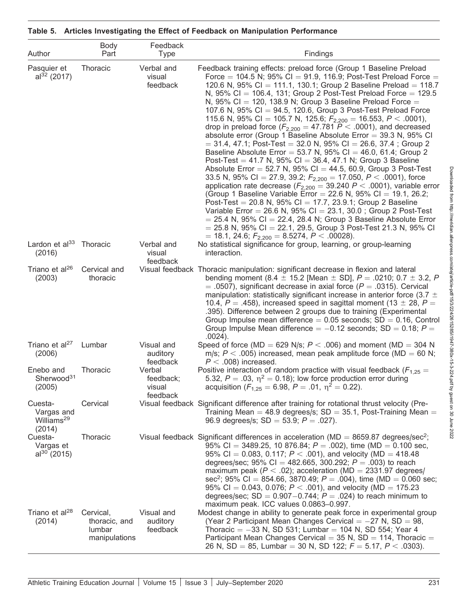| Author                                                    | Body<br>Part                                          | Feedback<br><b>Type</b>                   | Findings                                                                                                                                                                                                                                                                                                                                                                                                                                                                                                                                                                                                                                                                                                                                                                                                                                                                                                                                                                                                                                                                                                                                                                                                                                                                                                                                                                                                                                                                          |
|-----------------------------------------------------------|-------------------------------------------------------|-------------------------------------------|-----------------------------------------------------------------------------------------------------------------------------------------------------------------------------------------------------------------------------------------------------------------------------------------------------------------------------------------------------------------------------------------------------------------------------------------------------------------------------------------------------------------------------------------------------------------------------------------------------------------------------------------------------------------------------------------------------------------------------------------------------------------------------------------------------------------------------------------------------------------------------------------------------------------------------------------------------------------------------------------------------------------------------------------------------------------------------------------------------------------------------------------------------------------------------------------------------------------------------------------------------------------------------------------------------------------------------------------------------------------------------------------------------------------------------------------------------------------------------------|
| Pasquier et<br>$al32$ (2017)                              | Thoracic                                              | Verbal and<br>visual<br>feedback          | Feedback training effects: preload force (Group 1 Baseline Preload<br>Force = 104.5 N; 95% CI = 91.9, 116.9; Post-Test Preload Force =<br>120.6 N, 95% CI = 111.1, 130.1; Group 2 Baseline Preload = 118.7<br>N, 95% CI = 106.4, 131; Group 2 Post-Test Preload Force = 129.5<br>N, 95% Cl = 120, 138.9 N; Group 3 Baseline Preload Force =<br>107.6 N, 95% CI = 94.5, 120.6, Group 3 Post-Test Preload Force<br>115.6 N, 95% CI = 105.7 N, 125.6; $F_{2,200}$ = 16.553, P < .0001),<br>drop in preload force ( $F_{2,200}$ = 47.781 P < .0001), and decreased<br>absolute error (Group 1 Baseline Absolute Error $=$ 39.3 N, 95% CI<br>$=$ 31.4, 47.1; Post-Test $=$ 32.0 N, 95% Cl $=$ 26.6, 37.4; Group 2<br>Baseline Absolute Error = 53.7 N, $95\%$ Cl = 46.0, 61.4; Group 2<br>Post-Test = 41.7 N, 95% CI = 36.4, 47.1 N; Group 3 Baseline<br>Absolute Error = 52.7 N, 95% CI = 44.5, 60.9, Group 3 Post-Test<br>33.5 N, 95% Cl = 27.9, 39.2; $F_{2,200}$ = 17.050, P < .0001), force<br>application rate decrease ( $F_{2,200} = 39.240 P < .0001$ ), variable error<br>(Group 1 Baseline Variable Error = 22.6 N, 95% CI = 19.1, 26.2;<br>Post-Test = 20.8 N, 95% CI = 17.7, 23.9.1; Group 2 Baseline<br>Variable Error = 26.6 N, 95% Cl = 23.1, 30.0; Group 2 Post-Test<br>$=$ 25.4 N, 95% CI $=$ 22.4, 28.4 N; Group 3 Baseline Absolute Error<br>$=$ 25.8 N, 95% CI = 22.1, 29.5, Group 3 Post-Test 21.3 N, 95% CI<br>= 18.1, 24.6; $F_{2,200}$ = 8.5274, P < .00028). |
| Lardon et $al33$<br>(2016)                                | Thoracic                                              | Verbal and<br>visual<br>feedback          | No statistical significance for group, learning, or group-learning<br>interaction.                                                                                                                                                                                                                                                                                                                                                                                                                                                                                                                                                                                                                                                                                                                                                                                                                                                                                                                                                                                                                                                                                                                                                                                                                                                                                                                                                                                                |
| Triano et al <sup>26</sup><br>(2003)                      | Cervical and<br>thoracic                              |                                           | Visual feedback Thoracic manipulation: significant decrease in flexion and lateral<br>bending moment (8.4 $\pm$ 15.2 [Mean $\pm$ SD], P = .0210; 0.7 $\pm$ 3.2, P<br>$=$ .0507), significant decrease in axial force (P $=$ .0315). Cervical<br>manipulation: statistically significant increase in anterior force (3.7 $\pm$<br>10.4, $P = .458$ ), increased speed in sagittal moment (13 $\pm$ 28, $P =$<br>.395). Difference between 2 groups due to training (Experimental<br>Group Impulse mean difference $= 0.05$ seconds; SD $= 0.16$ , Control<br>Group Impulse Mean difference $= -0.12$ seconds; SD $= 0.18$ ; P $=$<br>$.0024$ ).                                                                                                                                                                                                                                                                                                                                                                                                                                                                                                                                                                                                                                                                                                                                                                                                                                    |
| Triano et al <sup>27</sup><br>(2006)                      | Lumbar                                                | Visual and<br>auditory<br>feedback        | Speed of force (MD = 629 N/s; $P < .006$ ) and moment (MD = 304 N<br>m/s; $P < .005$ ) increased, mean peak amplitude force (MD = 60 N;<br>$P < .008$ ) increased.                                                                                                                                                                                                                                                                                                                                                                                                                                                                                                                                                                                                                                                                                                                                                                                                                                                                                                                                                                                                                                                                                                                                                                                                                                                                                                                |
| Enebo and<br>Sherwood <sup>31</sup><br>(2005)             | Thoracic                                              | Verbal<br>feedback;<br>visual<br>feedback | Positive interaction of random practice with visual feedback ( $F_{1,25}$ =<br>5.32, $P = .03$ , $\eta^2 = 0.18$ ); low force production error during<br>acquisition ( $F_{1,25} = 6.98$ , $P = .01$ , $\eta^2 = 0.22$ ).                                                                                                                                                                                                                                                                                                                                                                                                                                                                                                                                                                                                                                                                                                                                                                                                                                                                                                                                                                                                                                                                                                                                                                                                                                                         |
| Cuesta-<br>Vargas and<br>Williams <sup>29</sup><br>(2014) | Cervical                                              |                                           | Visual feedback Significant difference after training for rotational thrust velocity (Pre-<br>Training Mean = 48.9 degrees/s; $SD = 35.1$ , Post-Training Mean =<br>96.9 degrees/s; SD = 53.9; $P = .027$ ).                                                                                                                                                                                                                                                                                                                                                                                                                                                                                                                                                                                                                                                                                                                                                                                                                                                                                                                                                                                                                                                                                                                                                                                                                                                                      |
| Cuesta-<br>Vargas et<br>$al^{30}$ (2015)                  | Thoracic                                              |                                           | Visual feedback Significant differences in acceleration ( $MD = 8659.87$ degrees/sec <sup>2</sup> ;<br>95% CI = 3489.25, 10 876.84; $P = .002$ ), time (MD = 0.100 sec,<br>95% CI = 0.083, 0.117; $P < .001$ ), and velocity (MD = 418.48<br>degrees/sec; 95% CI = 482.665, 300.292; $P = .003$ ) to reach<br>maximum peak ( $P < .02$ ); acceleration (MD = 2331.97 degrees/<br>sec <sup>2</sup> ; 95% Cl = 854.66, 3870.49; $P = .004$ ), time (MD = 0.060 sec;<br>95% CI = 0.043, 0.076; $P < .001$ ), and velocity (MD = 175.23<br>degrees/sec; $SD = 0.907 - 0.744$ ; $P = .024$ ) to reach minimum to<br>maximum peak. ICC values 0.0863-0.997.                                                                                                                                                                                                                                                                                                                                                                                                                                                                                                                                                                                                                                                                                                                                                                                                                             |
| Triano et al <sup>28</sup><br>(2014)                      | Cervical,<br>thoracic, and<br>lumbar<br>manipulations | Visual and<br>auditory<br>feedback        | Modest change in ability to generate peak force in experimental group<br>(Year 2 Participant Mean Changes Cervical $= -27$ N, SD $= 98$ ,<br>Thoracic = $-33$ N, SD 531; Lumbar = 104 N, SD 554; Year 4<br>Participant Mean Changes Cervical = $35$ N, SD = 114, Thoracic =<br>26 N, SD = 85, Lumbar = 30 N, SD 122; $F = 5.17$ , $P < .0303$ ).                                                                                                                                                                                                                                                                                                                                                                                                                                                                                                                                                                                                                                                                                                                                                                                                                                                                                                                                                                                                                                                                                                                                  |

|  |  |  | Table 5. Articles Investigating the Effect of Feedback on Manipulation Performance |
|--|--|--|------------------------------------------------------------------------------------|
|--|--|--|------------------------------------------------------------------------------------|

Downloaded from http://meridian.allenpress.com/atej/article-pdf/15/3/224/2615/3967x-15-3-224.pdf by guest on 30 June 2022 Downloaded from http://meridian.allenpress.com/atej/article-pdf/15/3/224/2615285/i1947-380x-15-3-224.pdf by guest on 30 June 2022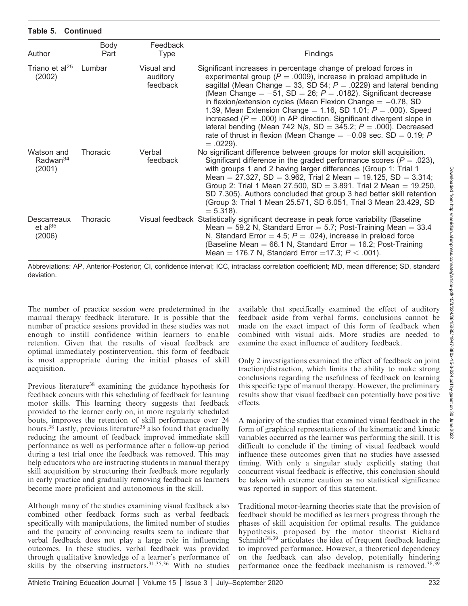| Author                                         | Body<br>Part | Feedback<br><b>Type</b>            | Findings                                                                                                                                                                                                                                                                                                                                                                                                                                                                                                                                                                                                                                                              |
|------------------------------------------------|--------------|------------------------------------|-----------------------------------------------------------------------------------------------------------------------------------------------------------------------------------------------------------------------------------------------------------------------------------------------------------------------------------------------------------------------------------------------------------------------------------------------------------------------------------------------------------------------------------------------------------------------------------------------------------------------------------------------------------------------|
| Triano et al <sup>25</sup><br>(2002)           | Lumbar       | Visual and<br>auditory<br>feedback | Significant increases in percentage change of preload forces in<br>experimental group ( $P = .0009$ ), increase in preload amplitude in<br>sagittal (Mean Change = 33, SD 54; $P = .0229$ ) and lateral bending<br>(Mean Change = $-51$ , SD = 26; P = .0182). Significant decrease<br>in flexion/extension cycles (Mean Flexion Change $= -0.78$ , SD<br>1.39, Mean Extension Change = 1.16, SD 1.01; $P = .000$ ). Speed<br>increased ( $P = .000$ ) in AP direction. Significant divergent slope in<br>lateral bending (Mean 742 N/s, SD = 345.2; $P = .000$ ). Decreased<br>rate of thrust in flexion (Mean Change $= -0.09$ sec. SD $= 0.19$ ; P<br>$= .0229$ ). |
| Watson and<br>Radwan <sup>34</sup><br>(2001)   | Thoracic     | Verbal<br>feedback                 | No significant difference between groups for motor skill acquisition.<br>Significant difference in the graded performance scores ( $P = .023$ ),<br>with groups 1 and 2 having larger differences (Group 1: Trial 1<br>Mean = 27.327, SD = 3.962, Trial 2 Mean = 19.125, SD = 3.314;<br>Group 2: Trial 1 Mean 27.500, $SD = 3.891$ . Trial 2 Mean = 19.250,<br>SD 7.305). Authors concluded that group 3 had better skill retention<br>(Group 3: Trial 1 Mean 25.571, SD 6.051, Trial 3 Mean 23.429, SD<br>$= 5.318$ ).                                                                                                                                               |
| Descarreaux<br>$et$ al <sup>35</sup><br>(2006) | Thoracic     |                                    | Visual feedback Statistically significant decrease in peak force variability (Baseline<br>Mean = 59.2 N, Standard Error = 5.7; Post-Training Mean = $33.4$<br>N, Standard Error = 4.5; $P = .024$ ), increase in preload force<br>(Baseline Mean = 66.1 N, Standard Error = 16.2; Post-Training<br>Mean = 176.7 N, Standard Error = 17.3; $P < .001$ ).                                                                                                                                                                                                                                                                                                               |

Abbreviations: AP, Anterior-Posterior; CI, confidence interval; ICC, intraclass correlation coefficient; MD, mean difference; SD, standard deviation.

The number of practice session were predetermined in the manual therapy feedback literature. It is possible that the number of practice sessions provided in these studies was not enough to instill confidence within learners to enable retention. Given that the results of visual feedback are optimal immediately postintervention, this form of feedback is most appropriate during the initial phases of skill acquisition.

Table 5. Continued

Previous literature<sup>38</sup> examining the guidance hypothesis for feedback concurs with this scheduling of feedback for learning motor skills. This learning theory suggests that feedback provided to the learner early on, in more regularly scheduled bouts, improves the retention of skill performance over 24 hours.<sup>38</sup> Lastly, previous literature<sup>38</sup> also found that gradually reducing the amount of feedback improved immediate skill performance as well as performance after a follow-up period during a test trial once the feedback was removed. This may help educators who are instructing students in manual therapy skill acquisition by structuring their feedback more regularly in early practice and gradually removing feedback as learners become more proficient and autonomous in the skill.

Although many of the studies examining visual feedback also combined other feedback forms such as verbal feedback specifically with manipulations, the limited number of studies and the paucity of convincing results seem to indicate that verbal feedback does not play a large role in influencing outcomes. In these studies, verbal feedback was provided through qualitative knowledge of a learner's performance of skills by the observing instructors.<sup>31,35,36</sup> With no studies

available that specifically examined the effect of auditory feedback aside from verbal forms, conclusions cannot be made on the exact impact of this form of feedback when combined with visual aids. More studies are needed to examine the exact influence of auditory feedback.

Only 2 investigations examined the effect of feedback on joint traction/distraction, which limits the ability to make strong conclusions regarding the usefulness of feedback on learning this specific type of manual therapy. However, the preliminary results show that visual feedback can potentially have positive effects.

A majority of the studies that examined visual feedback in the form of graphical representations of the kinematic and kinetic variables occurred as the learner was performing the skill. It is difficult to conclude if the timing of visual feedback would influence these outcomes given that no studies have assessed timing. With only a singular study explicitly stating that concurrent visual feedback is effective, this conclusion should be taken with extreme caution as no statistical significance was reported in support of this statement.

Traditional motor-learning theories state that the provision of feedback should be modified as learners progress through the phases of skill acquisition for optimal results. The guidance hypothesis, proposed by the motor theorist Richard Schmidt<sup>38,39</sup> articulates the idea of frequent feedback leading to improved performance. However, a theoretical dependency on the feedback can also develop, potentially hindering performance once the feedback mechanism is removed.<sup>38,39</sup>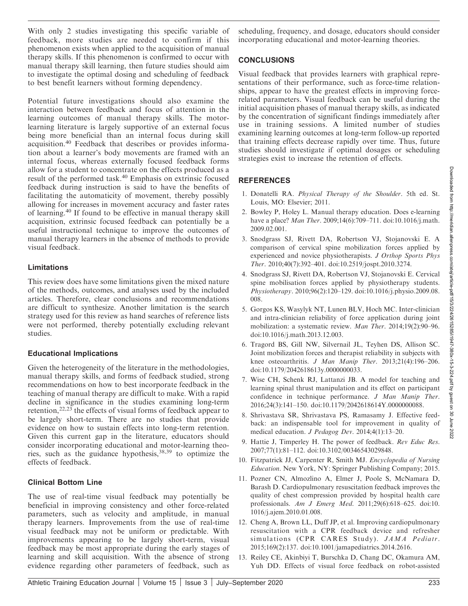With only 2 studies investigating this specific variable of feedback, more studies are needed to confirm if this phenomenon exists when applied to the acquisition of manual therapy skills. If this phenomenon is confirmed to occur with manual therapy skill learning, then future studies should aim to investigate the optimal dosing and scheduling of feedback to best benefit learners without forming dependency.

Potential future investigations should also examine the interaction between feedback and focus of attention in the learning outcomes of manual therapy skills. The motorlearning literature is largely supportive of an external focus being more beneficial than an internal focus during skill acquisition.<sup>40</sup> Feedback that describes or provides information about a learner's body movements are framed with an internal focus, whereas externally focused feedback forms allow for a student to concentrate on the effects produced as a result of the performed task.<sup>40</sup> Emphasis on extrinsic focused feedback during instruction is said to have the benefits of facilitating the automaticity of movement, thereby possibly allowing for increases in movement accuracy and faster rates of learning.<sup>40</sup> If found to be effective in manual therapy skill acquisition, extrinsic focused feedback can potentially be a useful instructional technique to improve the outcomes of manual therapy learners in the absence of methods to provide visual feedback.

## Limitations

This review does have some limitations given the mixed nature of the methods, outcomes, and analyses used by the included articles. Therefore, clear conclusions and recommendations are difficult to synthesize. Another limitation is the search strategy used for this review as hand searches of reference lists were not performed, thereby potentially excluding relevant studies.

## Educational Implications

Given the heterogeneity of the literature in the methodologies, manual therapy skills, and forms of feedback studied, strong recommendations on how to best incorporate feedback in the teaching of manual therapy are difficult to make. With a rapid decline in significance in the studies examining long-term retention,22,23 the effects of visual forms of feedback appear to be largely short-term. There are no studies that provide evidence on how to sustain effects into long-term retention. Given this current gap in the literature, educators should consider incorporating educational and motor-learning theories, such as the guidance hypothesis,38,39 to optimize the effects of feedback.

## Clinical Bottom Line

The use of real-time visual feedback may potentially be beneficial in improving consistency and other force-related parameters, such as velocity and amplitude, in manual therapy learners. Improvements from the use of real-time visual feedback may not be uniform or predictable. With improvements appearing to be largely short-term, visual feedback may be most appropriate during the early stages of learning and skill acquisition. With the absence of strong evidence regarding other parameters of feedback, such as

scheduling, frequency, and dosage, educators should consider incorporating educational and motor-learning theories.

## CONCLUSIONS

Visual feedback that provides learners with graphical representations of their performance, such as force-time relationships, appear to have the greatest effects in improving forcerelated parameters. Visual feedback can be useful during the initial acquisition phases of manual therapy skills, as indicated by the concentration of significant findings immediately after use in training sessions. A limited number of studies examining learning outcomes at long-term follow-up reported that training effects decrease rapidly over time. Thus, future studies should investigate if optimal dosages or scheduling strategies exist to increase the retention of effects.

## REFERENCES

- 1. Donatelli RA. Physical Therapy of the Shoulder. 5th ed. St. Louis, MO: Elsevier; 2011.
- 2. Bowley P, Holey L. Manual therapy education. Does e-learning have a place? *Man Ther.* 2009;14(6):709–711. doi:10.1016/j.math. 2009.02.001.
- 3. Snodgrass SJ, Rivett DA, Robertson VJ, Stojanovski E. A comparison of cervical spine mobilization forces applied by experienced and novice physiotherapists. J Orthop Sports Phys Ther. 2010;40(7):392–401. doi:10.2519/jospt.2010.3274.
- 4. Snodgrass SJ, Rivett DA, Robertson VJ, Stojanovski E. Cervical spine mobilisation forces applied by physiotherapy students. Physiotherapy. 2010;96(2):120–129. doi:10.1016/j.physio.2009.08. 008.
- 5. Gorgos KS, Wasylyk NT, Lunen BLV, Hoch MC. Inter-clinician and intra-clinician reliability of force application during joint mobilization: a systematic review. Man Ther. 2014;19(2):90–96. doi:10.1016/j.math.2013.12.003.
- 6. Tragord BS, Gill NW, Silvernail JL, Teyhen DS, Allison SC. Joint mobilization forces and therapist reliability in subjects with knee osteoarthritis. J Man Manip Ther. 2013;21(4):196-206. doi:10.1179/2042618613y.0000000033.
- 7. Wise CH, Schenk RJ, Lattanzi JB. A model for teaching and learning spinal thrust manipulation and its effect on participant confidence in technique performance. J Man Manip Ther. 2016;24(3):141–150. doi:10.1179/2042618614Y.0000000088.
- 8. Shrivastava SR, Shrivastava PS, Ramasamy J. Effective feedback: an indispensable tool for improvement in quality of medical education. J Pedagog Dev. 2014;4(1):13–20.
- 9. Hattie J, Timperley H. The power of feedback. Rev Educ Res. 2007;77(1):81–112. doi:10.3102/00346543029848.
- 10. Fitzpatrick JJ, Carpenter R, Smith MJ. Encyclopedia of Nursing Education. New York, NY: Springer Publishing Company; 2015.
- 11. Pozner CN, Almozlino A, Elmer J, Poole S, McNamara D, Barash D. Cardiopulmonary resuscitation feedback improves the quality of chest compression provided by hospital health care professionals. Am J Emerg Med. 2011;29(6):618–625. doi:10. 1016/j.ajem.2010.01.008.
- 12. Cheng A, Brown LL, Duff JP, et al. Improving cardiopulmonary resuscitation with a CPR feedback device and refresher simulations (CPR CARES Study). JAMA Pediatr. 2015;169(2):137. doi:10.1001/jamapediatrics.2014.2616.
- 13. Reiley CE, Akinbiyi T, Burschka D, Chang DC, Okamura AM, Yuh DD. Effects of visual force feedback on robot-assisted